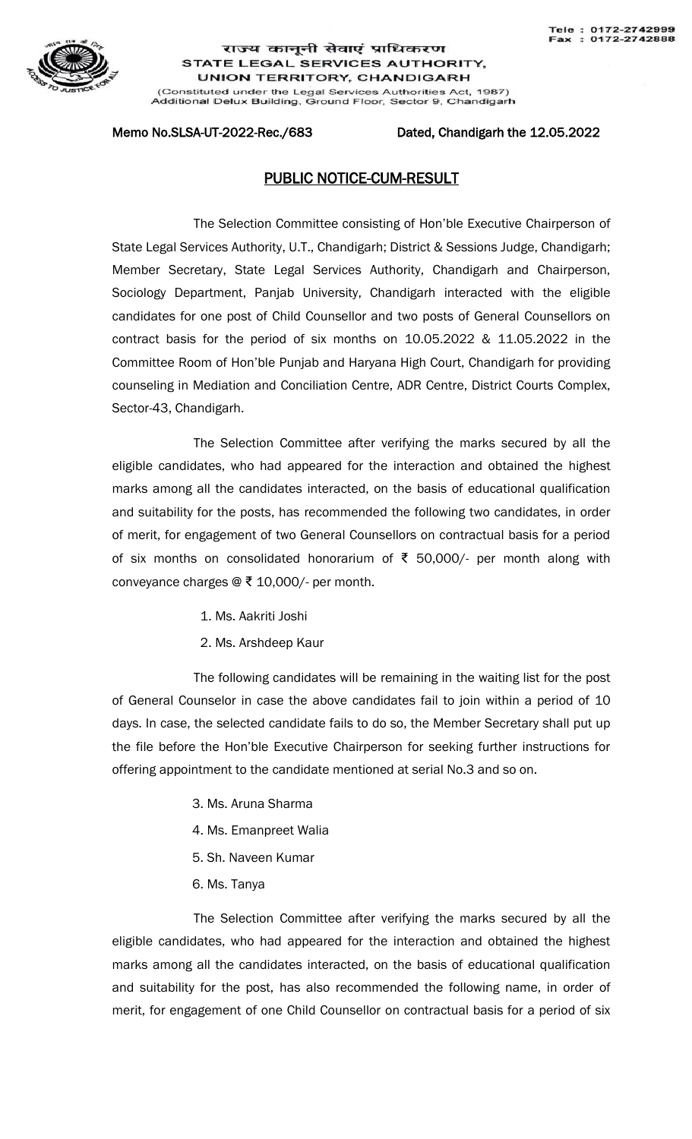

## राज्य कानूनी सेवाएं प्राधिकरण STATE LEGAL SERVICES AUTHORITY, **UNION TERRITORY, CHANDIGARH**

(Constituted under the Legal Services Authorities Act, 1987)<br>Additional Delux Building, Ground Floor, Sector 9, Chandigarh

### Memo No.SLSA-UT-2022-Rec./683 Dated, Chandigarh the 12.05.2022

# PUBLIC NOTICE-CUM-RESULT

The Selection Committee consisting of Hon'ble Executive Chairperson of State Legal Services Authority, U.T., Chandigarh; District & Sessions Judge, Chandigarh; Member Secretary, State Legal Services Authority, Chandigarh and Chairperson, Sociology Department, Panjab University, Chandigarh interacted with the eligible candidates for one post of Child Counsellor and two posts of General Counsellors on contract basis for the period of six months on 10.05.2022 & 11.05.2022 in the Committee Room of Hon'ble Punjab and Haryana High Court, Chandigarh for providing counseling in Mediation and Conciliation Centre, ADR Centre, District Courts Complex, Sector-43, Chandigarh.

The Selection Committee after verifying the marks secured by all the eligible candidates, who had appeared for the interaction and obtained the highest marks among all the candidates interacted, on the basis of educational qualification and suitability for the posts, has recommended the following two candidates, in order of merit, for engagement of two General Counsellors on contractual basis for a period of six months on consolidated honorarium of ₹ 50,000/- per month along with conveyance charges @ ₹ 10,000/- per month.

- 1. Ms. Aakriti Joshi
- 2. Ms. Arshdeep Kaur

The following candidates will be remaining in the waiting list for the post of General Counselor in case the above candidates fail to join within a period of 10 days. In case, the selected candidate fails to do so, the Member Secretary shall put up the file before the Hon'ble Executive Chairperson for seeking further instructions for offering appointment to the candidate mentioned at serial No.3 and so on.

- 3. Ms. Aruna Sharma
- 4. Ms. Emanpreet Walia
- 5. Sh. Naveen Kumar
- 6. Ms. Tanya

The Selection Committee after verifying the marks secured by all the eligible candidates, who had appeared for the interaction and obtained the highest marks among all the candidates interacted, on the basis of educational qualification and suitability for the post, has also recommended the following name, in order of merit, for engagement of one Child Counsellor on contractual basis for a period of six